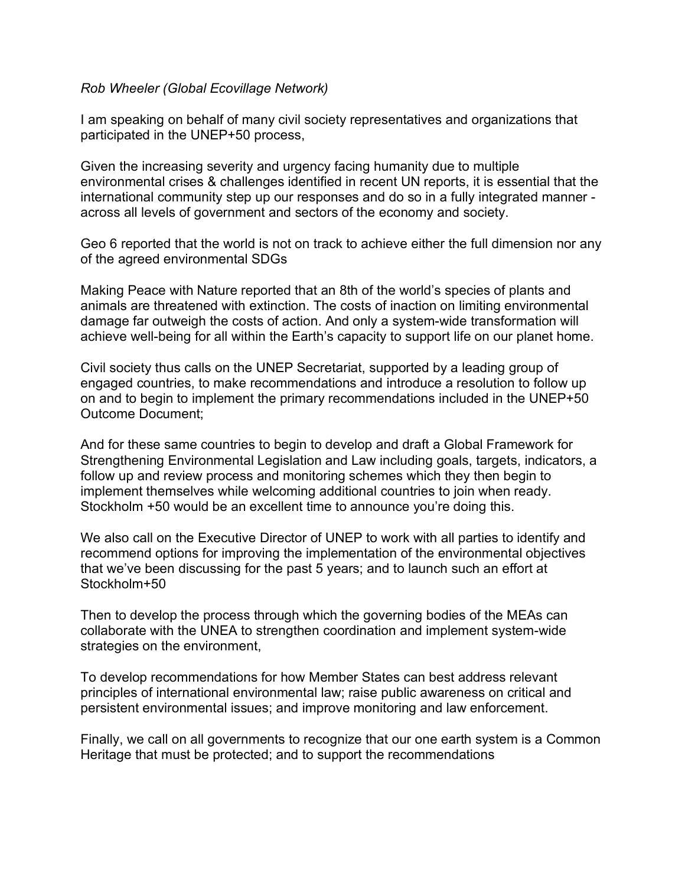## *Rob Wheeler (Global Ecovillage Network)*

I am speaking on behalf of many civil society representatives and organizations that participated in the UNEP+50 process,

Given the increasing severity and urgency facing humanity due to multiple environmental crises & challenges identified in recent UN reports, it is essential that the international community step up our responses and do so in a fully integrated manner across all levels of government and sectors of the economy and society.

Geo 6 reported that the world is not on track to achieve either the full dimension nor any of the agreed environmental SDGs

Making Peace with Nature reported that an 8th of the world's species of plants and animals are threatened with extinction. The costs of inaction on limiting environmental damage far outweigh the costs of action. And only a system-wide transformation will achieve well-being for all within the Earth's capacity to support life on our planet home.

Civil society thus calls on the UNEP Secretariat, supported by a leading group of engaged countries, to make recommendations and introduce a resolution to follow up on and to begin to implement the primary recommendations included in the UNEP+50 Outcome Document;

And for these same countries to begin to develop and draft a Global Framework for Strengthening Environmental Legislation and Law including goals, targets, indicators, a follow up and review process and monitoring schemes which they then begin to implement themselves while welcoming additional countries to join when ready. Stockholm +50 would be an excellent time to announce you're doing this.

We also call on the Executive Director of UNEP to work with all parties to identify and recommend options for improving the implementation of the environmental objectives that we've been discussing for the past 5 years; and to launch such an effort at Stockholm+50

Then to develop the process through which the governing bodies of the MEAs can collaborate with the UNEA to strengthen coordination and implement system-wide strategies on the environment,

To develop recommendations for how Member States can best address relevant principles of international environmental law; raise public awareness on critical and persistent environmental issues; and improve monitoring and law enforcement.

Finally, we call on all governments to recognize that our one earth system is a Common Heritage that must be protected; and to support the recommendations